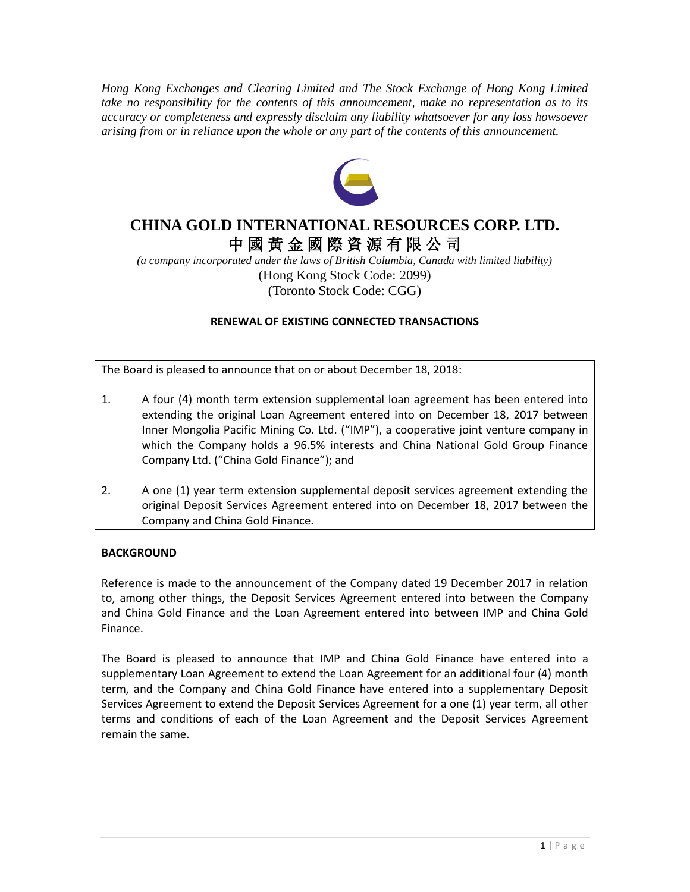*Hong Kong Exchanges and Clearing Limited and The Stock Exchange of Hong Kong Limited take no responsibility for the contents of this announcement, make no representation as to its accuracy or completeness and expressly disclaim any liability whatsoever for any loss howsoever arising from or in reliance upon the whole or any part of the contents of this announcement.*



# **CHINA GOLD INTERNATIONAL RESOURCES CORP. LTD.** 中 國 黃 金 國 際 資 源 有 限 公 司

*(a company incorporated under the laws of British Columbia, Canada with limited liability)* (Hong Kong Stock Code: 2099) (Toronto Stock Code: CGG)

# **RENEWAL OF EXISTING CONNECTED TRANSACTIONS**

The Board is pleased to announce that on or about December 18, 2018:

- 1. A four (4) month term extension supplemental loan agreement has been entered into extending the original Loan Agreement entered into on December 18, 2017 between Inner Mongolia Pacific Mining Co. Ltd. ("IMP"), a cooperative joint venture company in which the Company holds a 96.5% interests and China National Gold Group Finance Company Ltd. ("China Gold Finance"); and
- 2. A one (1) year term extension supplemental deposit services agreement extending the original Deposit Services Agreement entered into on December 18, 2017 between the Company and China Gold Finance.

## **BACKGROUND**

Reference is made to the announcement of the Company dated 19 December 2017 in relation to, among other things, the Deposit Services Agreement entered into between the Company and China Gold Finance and the Loan Agreement entered into between IMP and China Gold Finance.

The Board is pleased to announce that IMP and China Gold Finance have entered into a supplementary Loan Agreement to extend the Loan Agreement for an additional four (4) month term, and the Company and China Gold Finance have entered into a supplementary Deposit Services Agreement to extend the Deposit Services Agreement for a one (1) year term, all other terms and conditions of each of the Loan Agreement and the Deposit Services Agreement remain the same.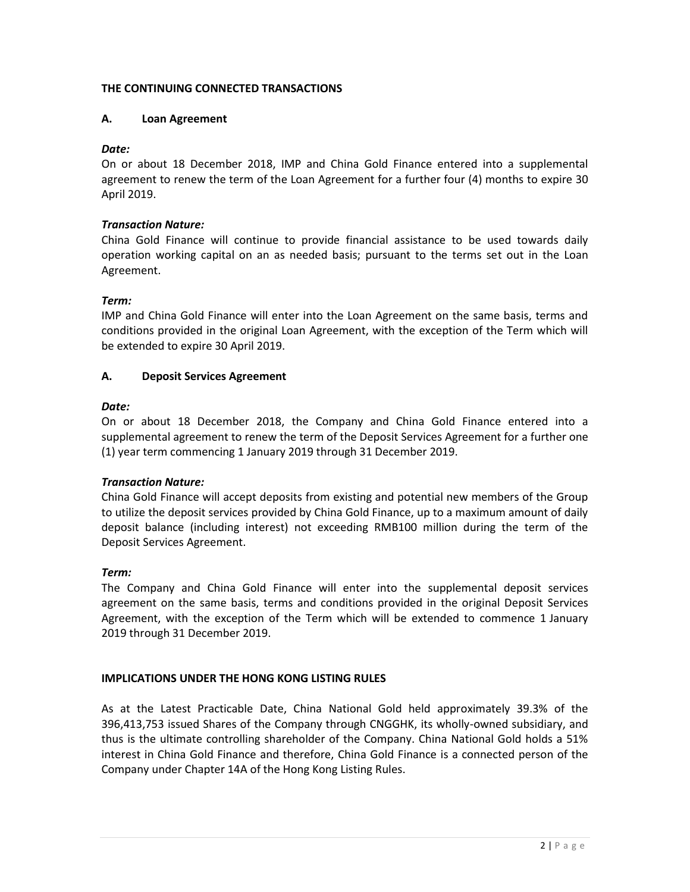# **THE CONTINUING CONNECTED TRANSACTIONS**

## **A. Loan Agreement**

## *Date:*

On or about 18 December 2018, IMP and China Gold Finance entered into a supplemental agreement to renew the term of the Loan Agreement for a further four (4) months to expire 30 April 2019.

## *Transaction Nature:*

China Gold Finance will continue to provide financial assistance to be used towards daily operation working capital on an as needed basis; pursuant to the terms set out in the Loan Agreement.

## *Term:*

IMP and China Gold Finance will enter into the Loan Agreement on the same basis, terms and conditions provided in the original Loan Agreement, with the exception of the Term which will be extended to expire 30 April 2019.

## **A. Deposit Services Agreement**

# *Date:*

On or about 18 December 2018, the Company and China Gold Finance entered into a supplemental agreement to renew the term of the Deposit Services Agreement for a further one (1) year term commencing 1 January 2019 through 31 December 2019.

## *Transaction Nature:*

China Gold Finance will accept deposits from existing and potential new members of the Group to utilize the deposit services provided by China Gold Finance, up to a maximum amount of daily deposit balance (including interest) not exceeding RMB100 million during the term of the Deposit Services Agreement.

## *Term:*

The Company and China Gold Finance will enter into the supplemental deposit services agreement on the same basis, terms and conditions provided in the original Deposit Services Agreement, with the exception of the Term which will be extended to commence 1 January 2019 through 31 December 2019.

## **IMPLICATIONS UNDER THE HONG KONG LISTING RULES**

As at the Latest Practicable Date, China National Gold held approximately 39.3% of the 396,413,753 issued Shares of the Company through CNGGHK, its wholly-owned subsidiary, and thus is the ultimate controlling shareholder of the Company. China National Gold holds a 51% interest in China Gold Finance and therefore, China Gold Finance is a connected person of the Company under Chapter 14A of the Hong Kong Listing Rules.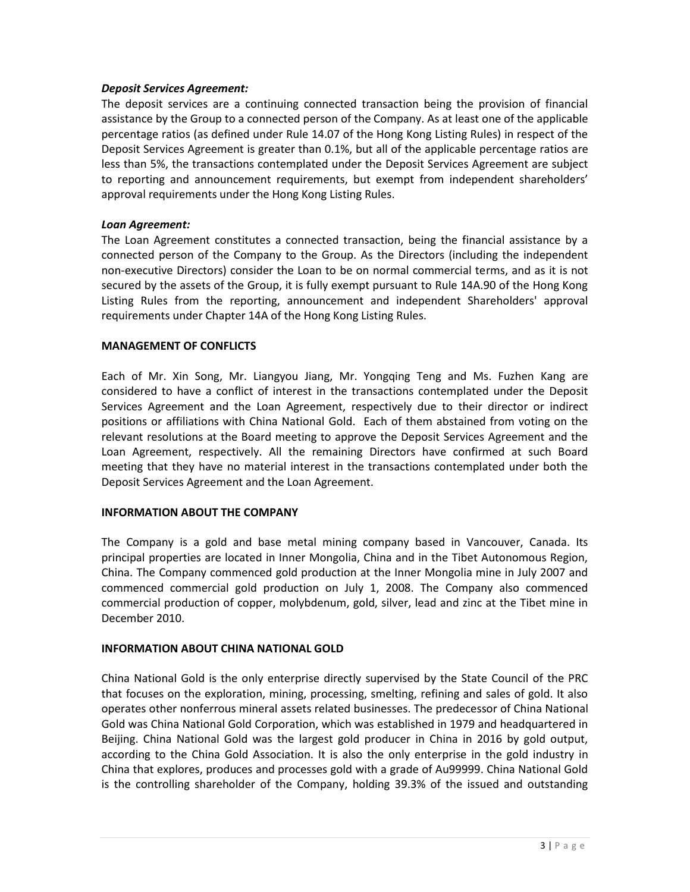#### *Deposit Services Agreement:*

The deposit services are a continuing connected transaction being the provision of financial assistance by the Group to a connected person of the Company. As at least one of the applicable percentage ratios (as defined under Rule 14.07 of the Hong Kong Listing Rules) in respect of the Deposit Services Agreement is greater than 0.1%, but all of the applicable percentage ratios are less than 5%, the transactions contemplated under the Deposit Services Agreement are subject to reporting and announcement requirements, but exempt from independent shareholders' approval requirements under the Hong Kong Listing Rules.

#### *Loan Agreement:*

The Loan Agreement constitutes a connected transaction, being the financial assistance by a connected person of the Company to the Group. As the Directors (including the independent non-executive Directors) consider the Loan to be on normal commercial terms, and as it is not secured by the assets of the Group, it is fully exempt pursuant to Rule 14A.90 of the Hong Kong Listing Rules from the reporting, announcement and independent Shareholders' approval requirements under Chapter 14A of the Hong Kong Listing Rules.

#### **MANAGEMENT OF CONFLICTS**

Each of Mr. Xin Song, Mr. Liangyou Jiang, Mr. Yongqing Teng and Ms. Fuzhen Kang are considered to have a conflict of interest in the transactions contemplated under the Deposit Services Agreement and the Loan Agreement, respectively due to their director or indirect positions or affiliations with China National Gold. Each of them abstained from voting on the relevant resolutions at the Board meeting to approve the Deposit Services Agreement and the Loan Agreement, respectively. All the remaining Directors have confirmed at such Board meeting that they have no material interest in the transactions contemplated under both the Deposit Services Agreement and the Loan Agreement.

#### **INFORMATION ABOUT THE COMPANY**

The Company is a gold and base metal mining company based in Vancouver, Canada. Its principal properties are located in Inner Mongolia, China and in the Tibet Autonomous Region, China. The Company commenced gold production at the Inner Mongolia mine in July 2007 and commenced commercial gold production on July 1, 2008. The Company also commenced commercial production of copper, molybdenum, gold, silver, lead and zinc at the Tibet mine in December 2010.

#### **INFORMATION ABOUT CHINA NATIONAL GOLD**

China National Gold is the only enterprise directly supervised by the State Council of the PRC that focuses on the exploration, mining, processing, smelting, refining and sales of gold. It also operates other nonferrous mineral assets related businesses. The predecessor of China National Gold was China National Gold Corporation, which was established in 1979 and headquartered in Beijing. China National Gold was the largest gold producer in China in 2016 by gold output, according to the China Gold Association. It is also the only enterprise in the gold industry in China that explores, produces and processes gold with a grade of Au99999. China National Gold is the controlling shareholder of the Company, holding 39.3% of the issued and outstanding